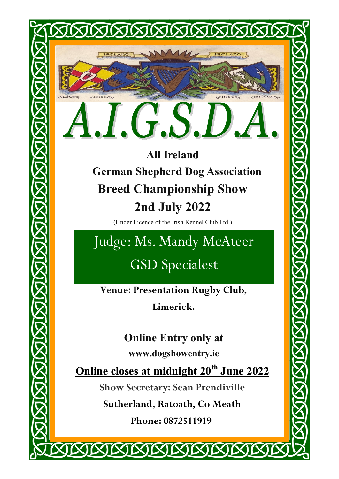ILSCEP

MURSCEA

**All Ireland German Shepherd Dog Association Breed Championship Show 2nd July 2022**

XIXIXIXIXIXIXIXI

connausbe

(Under Licence of the Irish Kennel Club Ltd.)

Judge: Ms. Mandy McAteer GSD Specialest

**Venue: Presentation Rugby Club,** 

**Limerick.**

**Online Entry only at** 

**www.dogshowentry.ie**

**Online closes at midnight 20th June 2022**

**Show Secretary: Sean Prendiville**

**Sutherland, Ratoath, Co Meath**

**Phone: 0872511919**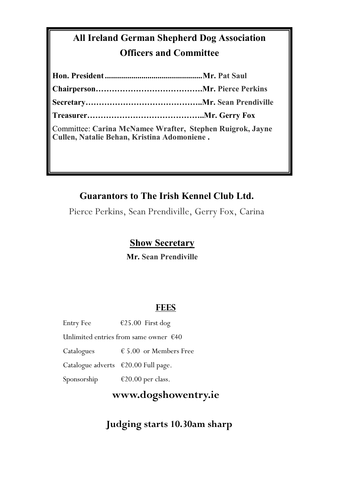## **All Ireland German Shepherd Dog Association Officers and Committee**

| Committee: Carina McNamee Wrafter, Stephen Ruigrok, Jayne<br>Cullen, Natalie Behan, Kristina Adomoniene. |  |
|----------------------------------------------------------------------------------------------------------|--|

## **Guarantors to The Irish Kennel Club Ltd.**

Pierce Perkins, Sean Prendiville, Gerry Fox, Carina

## **Show Secretary**

**Mr. Sean Prendiville**

## **FEES**

| <b>Entry Fee</b>                                | €25.00 First dog                |  |
|-------------------------------------------------|---------------------------------|--|
| Unlimited entries from same owner $\epsilon$ 40 |                                 |  |
| Catalogues                                      | $\epsilon$ 5.00 or Members Free |  |
| Catalogue adverts €20.00 Full page.             |                                 |  |
| Sponsorship                                     | €20.00 per class.               |  |

**www.dogshowentry.ie**

 **Judging starts 10.30am sharp**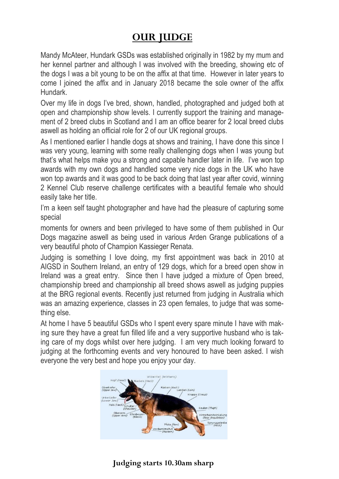## **OUR JUDGE**

Mandy McAteer, Hundark GSDs was established originally in 1982 by my mum and her kennel partner and although I was involved with the breeding, showing etc of the dogs I was a bit young to be on the affix at that time. However in later years to come I joined the affix and in January 2018 became the sole owner of the affix Hundark.

Over my life in dogs I've bred, shown, handled, photographed and judged both at open and championship show levels. I currently support the training and management of 2 breed clubs in Scotland and I am an office bearer for 2 local breed clubs aswell as holding an official role for 2 of our UK regional groups.

As I mentioned earlier I handle dogs at shows and training. I have done this since I was very young, learning with some really challenging dogs when I was young but that's what helps make you a strong and capable handler later in life. I've won top awards with my own dogs and handled some very nice dogs in the UK who have won top awards and it was good to be back doing that last year after covid, winning 2 Kennel Club reserve challenge certificates with a beautiful female who should easily take her title.

I'm a keen self taught photographer and have had the pleasure of capturing some special

moments for owners and been privileged to have some of them published in Our Dogs magazine aswell as being used in various Arden Grange publications of a very beautiful photo of Champion Kassieger Renata.

Judging is something I love doing, my first appointment was back in 2010 at AIGSD in Southern Ireland, an entry of 129 dogs, which for a breed open show in Ireland was a great entry. Since then I have judged a mixture of Open breed, championship breed and championship all breed shows aswell as judging puppies at the BRG regional events. Recently just returned from judging in Australia which was an amazing experience, classes in 23 open females, to judge that was something else.

At home I have 5 beautiful GSDs who I spent every spare minute I have with making sure they have a great fun filled life and a very supportive husband who is taking care of my dogs whilst over here judging. I am very much looking forward to judging at the forthcoming events and very honoured to have been asked. I wish everyone the very best and hope you enjoy your day.



## **Judging starts 10.30am sharp**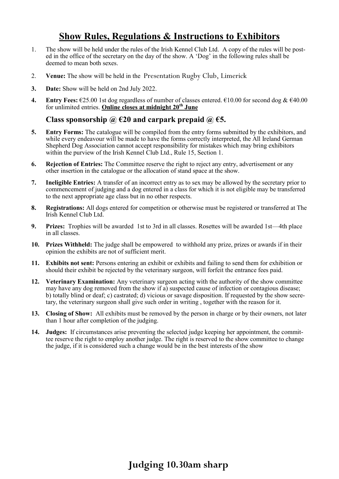## **Show Rules, Regulations & Instructions to Exhibitors**

- 1. The show will be held under the rules of the Irish Kennel Club Ltd. A copy of the rules will be posted in the office of the secretary on the day of the show. A 'Dog' in the following rules shall be deemed to mean both sexes.
- 2. **Venue:** The show will be held in the Presentation Rugby Club, Limerick
- **3. Date:** Show will be held on 2nd July 2022.
- **4. Entry Fees:** €25.00 1st dog regardless of number of classes entered. €10.00 for second dog & €40.00 for unlimited entries. **Online closes at midnight 20th June**

#### **Class sponsorship @ €20 and carpark prepaid @ €5.**

- **5. Entry Forms:** The catalogue will be compiled from the entry forms submitted by the exhibitors, and while every endeavour will be made to have the forms correctly interpreted, the All Ireland German Shepherd Dog Association cannot accept responsibility for mistakes which may bring exhibitors within the purview of the Irish Kennel Club Ltd., Rule 15, Section 1.
- **6. Rejection of Entries:** The Committee reserve the right to reject any entry, advertisement or any other insertion in the catalogue or the allocation of stand space at the show.
- **7. Ineligible Entries:** A transfer of an incorrect entry as to sex may be allowed by the secretary prior to commencement of judging and a dog entered in a class for which it is not eligible may be transferred to the next appropriate age class but in no other respects.
- **8. Registrations:** All dogs entered for competition or otherwise must be registered or transferred at The Irish Kennel Club Ltd.
- **9. Prizes:** Trophies will be awarded 1st to 3rd in all classes. Rosettes will be awarded 1st—4th place in all classes.
- **10. Prizes Withheld:** The judge shall be empowered to withhold any prize, prizes or awards if in their opinion the exhibits are not of sufficient merit.
- **11. Exhibits not sent:** Persons entering an exhibit or exhibits and failing to send them for exhibition or should their exhibit be rejected by the veterinary surgeon, will forfeit the entrance fees paid.
- **12. Veterinary Examination:** Any veterinary surgeon acting with the authority of the show committee may have any dog removed from the show if a) suspected cause of infection or contagious disease; b) totally blind or deaf; c) castrated; d) vicious or savage disposition. If requested by the show secretary, the veterinary surgeon shall give such order in writing , together with the reason for it.
- **13. Closing of Show:** All exhibits must be removed by the person in charge or by their owners, not later than 1 hour after completion of the judging.
- **14. Judges:** If circumstances arise preventing the selected judge keeping her appointment, the committee reserve the right to employ another judge. The right is reserved to the show committee to change the judge, if it is considered such a change would be in the best interests of the show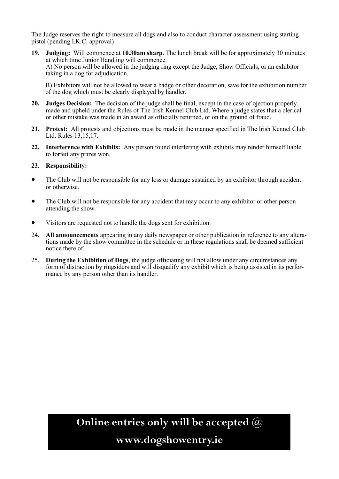The Judge reserves the right to measure all dogs and also to conduct character assessment using starting pistol (pending I.K.C. approval)

**19. Judging:** Will commence at **10.30am sharp**. The lunch break will be for approximately 30 minutes at which time Junior Handling will commence. A) No person will be allowed in the judging ring except the Judge, Show Officials, or an exhibitor taking in a dog for adjudication.

B) Exhibitors will not be allowed to wear a badge or other decoration, save for the exhibition number of the dog which must be clearly displayed by handler.

- **20. Judges Decision:** The decision of the judge shall be final, except in the case of ojection properly made and upheld under the Rules of The Irish Kennel Club Ltd. Where a judge states that a clerical or other mistake was made in an award as officially returned, or on the ground of fraud.
- **21. Protest:** All protests and objections must be made in the manner specified in The Irish Kennel Club Ltd. Rules 13,15,17.
- **22. Interference with Exhibits:** Any person found interfering with exhibits may render himself liable to forfeit any prizes won.

#### **23. Responsibility:**

- The Club will not be responsible for any loss or damage sustained by an exhibitor through accident or otherwise.
- The Club will not be responsible for any accident that may occur to any exhibitor or other person attending the show.
- Visitors are requested not to handle the dogs sent for exhibition.
- 24. **All announcements** appearing in any daily newspaper or other publication in reference to any alterations made by the show committee in the schedule or in these regulations shall be deemed sufficient notice there of.
- 25. **During the Exhibition of Dogs**, the judge officiating will not allow under any circumstances any form of distraction by ringsiders and will disqualify any exhibit which is being assisted in its performance by any person other than its handler.

**Online entries only will be accepted @**

**www.dogshowentry.ie**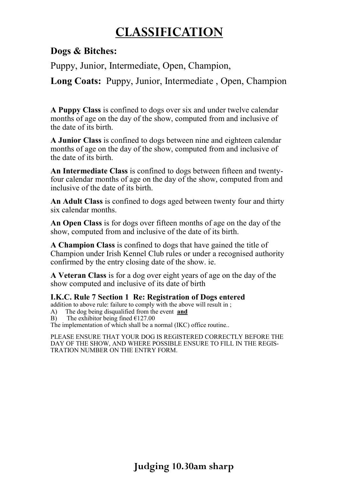## **CLASSIFICATION**

**Dogs & Bitches:**

Puppy, Junior, Intermediate, Open, Champion,

**Long Coats:** Puppy, Junior, Intermediate , Open, Champion

**A Puppy Class** is confined to dogs over six and under twelve calendar months of age on the day of the show, computed from and inclusive of the date of its birth.

**A Junior Class** is confined to dogs between nine and eighteen calendar months of age on the day of the show, computed from and inclusive of the date of its birth.

**An Intermediate Class** is confined to dogs between fifteen and twentyfour calendar months of age on the day of the show, computed from and inclusive of the date of its birth.

**An Adult Class** is confined to dogs aged between twenty four and thirty six calendar months.

**An Open Class** is for dogs over fifteen months of age on the day of the show, computed from and inclusive of the date of its birth.

**A Champion Class** is confined to dogs that have gained the title of Champion under Irish Kennel Club rules or under a recognised authority confirmed by the entry closing date of the show. ie.

**A Veteran Class** is for a dog over eight years of age on the day of the show computed and inclusive of its date of birth

#### **I.K.C. Rule 7 Section 1 Re: Registration of Dogs entered**

addition to above rule: failure to comply with the above will result in ;

- A) The dog being disqualified from the event **and**
- B) The exhibitor being fined  $£127.00$

The implementation of which shall be a normal (IKC) office routine..

PLEASE ENSURE THAT YOUR DOG IS REGISTERED CORRECTLY BEFORE THE DAY OF THE SHOW, AND WHERE POSSIBLE ENSURE TO FILL IN THE REGIS-TRATION NUMBER ON THE ENTRY FORM.

**Judging 10.30am sharp**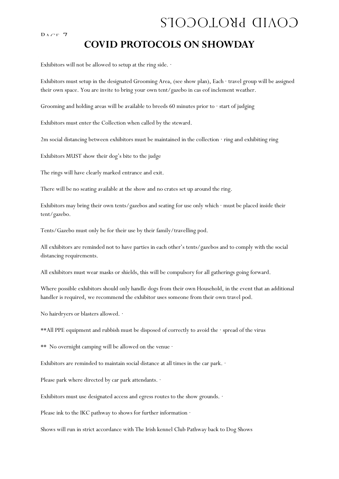#### $D_{ACT}$  7

## COVID PROTOCOLS

## **COVID PROTOCOLS ON SHOWDAY**

Exhibitors will not be allowed to setup at the ring side.  $\cdot$ 

Exhibitors must setup in the designated Grooming Area, (see show plan), Each · travel group will be assigned their own space. You are invite to bring your own tent/gazebo in cas eof inclement weather.

Grooming and holding areas will be available to breeds 60 minutes prior to · start of judging

Exhibitors must enter the Collection when called by the steward.

2m social distancing between exhibitors must be maintained in the collection · ring and exhibiting ring

Exhibitors MUST show their dog's bite to the judge

The rings will have clearly marked entrance and exit.

There will be no seating available at the show and no crates set up around the ring.

Exhibitors may bring their own tents/gazebos and seating for use only which · must be placed inside their tent/gazebo.

Tents/Gazebo must only be for their use by their family/travelling pod.

All exhibitors are reminded not to have parties in each other's tents/gazebos and to comply with the social distancing requirements.

All exhibitors must wear masks or shields, this will be compulsory for all gatherings going forward.

Where possible exhibitors should only handle dogs from their own Household, in the event that an additional handler is required, we recommend the exhibitor uses someone from their own travel pod.

No hairdryers or blasters allowed. ·

\*\*All PPE equipment and rubbish must be disposed of correctly to avoid the · spread of the virus

\*\* No overnight camping will be allowed on the venue  $\cdot$ 

Exhibitors are reminded to maintain social distance at all times in the car park. ·

Please park where directed by car park attendants. ·

Exhibitors must use designated access and egress routes to the show grounds.  $\cdot$ 

Please ink to the IKC pathway to shows for further information  $\cdot$ 

Shows will run in strict accordance with The Irish kennel Club Pathway back to Dog Shows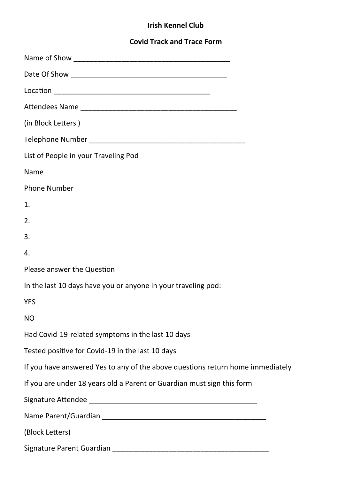### **Irish Kennel Club**

## **Covid Track and Trace Form**

| (in Block Letters)                                                             |
|--------------------------------------------------------------------------------|
|                                                                                |
| List of People in your Traveling Pod                                           |
| Name                                                                           |
| <b>Phone Number</b>                                                            |
| 1.                                                                             |
| 2.                                                                             |
| 3.                                                                             |
| 4.                                                                             |
| Please answer the Question                                                     |
| In the last 10 days have you or anyone in your traveling pod:                  |
| <b>YES</b>                                                                     |
| <b>NO</b>                                                                      |
| Had Covid-19-related symptoms in the last 10 days                              |
| Tested positive for Covid-19 in the last 10 days                               |
| If you have answered Yes to any of the above questions return home immediately |
| If you are under 18 years old a Parent or Guardian must sign this form         |
|                                                                                |
|                                                                                |
| (Block Letters)                                                                |
| Signature Parent Guardian                                                      |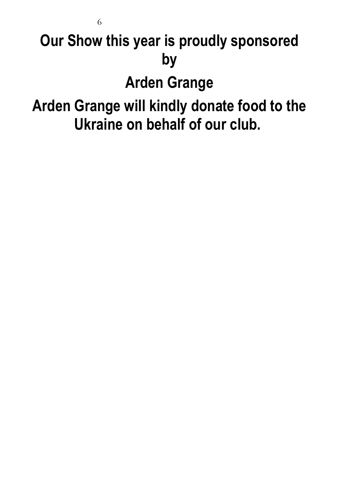# **Our Show this year is proudly sponsored by**

6

## **Arden Grange**

## **Arden Grange will kindly donate food to the Ukraine on behalf of our club.**